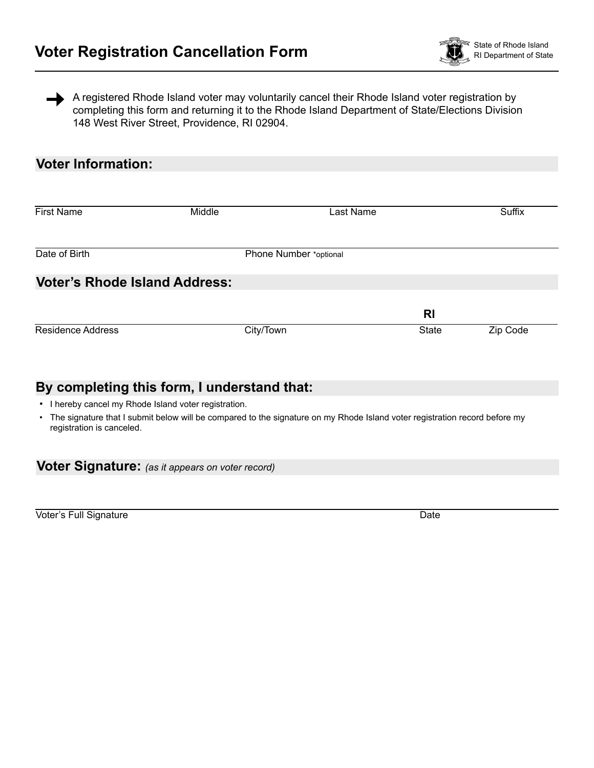

A registered Rhode Island voter may voluntarily cancel their Rhode Island voter registration by completing this form and returning it to the Rhode Island Department of State/Elections Division 148 West River Street, Providence, RI 02904.

## **Voter Information:**

| <b>First Name</b>                    | Middle                 | Last Name | Suffix   |
|--------------------------------------|------------------------|-----------|----------|
|                                      |                        |           |          |
| Date of Birth                        | Phone Number *optional |           |          |
| <b>Voter's Rhode Island Address:</b> |                        |           |          |
|                                      |                        | <b>RI</b> |          |
| <b>Residence Address</b>             | City/Town              | State     | Zip Code |
|                                      |                        |           |          |

## **By completing this form, I understand that:**

• I hereby cancel my Rhode Island voter registration.

• The signature that I submit below will be compared to the signature on my Rhode Island voter registration record before my registration is canceled.

|  | Voter Signature: (as it appears on voter record) |
|--|--------------------------------------------------|
|--|--------------------------------------------------|

Voter's Full Signature **Date** Date of *League Controlling Controlling Controlling* Date Date